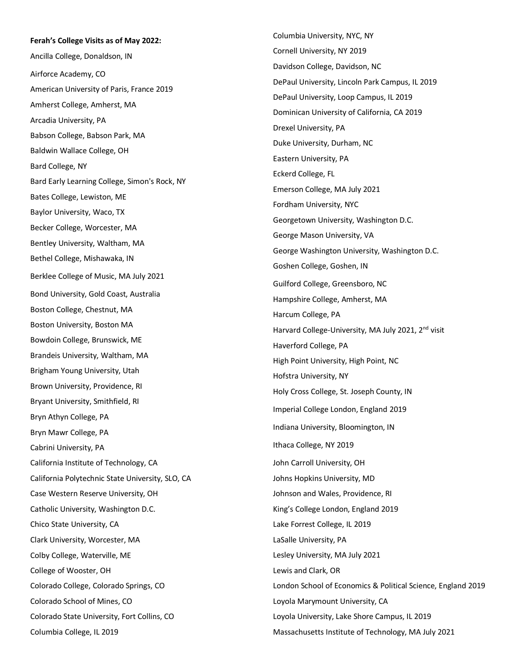**Ferah's College Visits as of May 2022:** Ancilla College, Donaldson, IN Airforce Academy, CO American University of Paris, France 2019 Amherst College, Amherst, MA Arcadia University, PA Babson College, Babson Park, MA Baldwin Wallace College, OH Bard College, NY Bard Early Learning College, Simon's Rock, NY Bates College, Lewiston, ME Baylor University, Waco, TX Becker College, Worcester, MA Bentley University, Waltham, MA Bethel College, Mishawaka, IN Berklee College of Music, MA July 2021 Bond University, Gold Coast, Australia Boston College, Chestnut, MA Boston University, Boston MA Bowdoin College, Brunswick, ME Brandeis University, Waltham, MA Brigham Young University, Utah Brown University, Providence, RI Bryant University, Smithfield, RI Bryn Athyn College, PA Bryn Mawr College, PA Cabrini University, PA California Institute of Technology, CA California Polytechnic State University, SLO, CA Case Western Reserve University, OH Catholic University, Washington D.C. Chico State University, CA Clark University, Worcester, MA Colby College, Waterville, ME College of Wooster, OH Colorado College, Colorado Springs, CO Colorado School of Mines, CO Colorado State University, Fort Collins, CO Columbia College, IL 2019

Columbia University, NYC, NY Cornell University, NY 2019 Davidson College, Davidson, NC DePaul University, Lincoln Park Campus, IL 2019 DePaul University, Loop Campus, IL 2019 Dominican University of California, CA 2019 Drexel University, PA Duke University, Durham, NC Eastern University, PA Eckerd College, FL Emerson College, MA July 2021 Fordham University, NYC Georgetown University, Washington D.C. George Mason University, VA George Washington University, Washington D.C. Goshen College, Goshen, IN Guilford College, Greensboro, NC Hampshire College, Amherst, MA Harcum College, PA Harvard College-University, MA July 2021, 2<sup>nd</sup> visit Haverford College, PA High Point University, High Point, NC Hofstra University, NY Holy Cross College, St. Joseph County, IN Imperial College London, England 2019 Indiana University, Bloomington, IN Ithaca College, NY 2019 John Carroll University, OH Johns Hopkins University, MD Johnson and Wales, Providence, RI King's College London, England 2019 Lake Forrest College, IL 2019 LaSalle University, PA Lesley University, MA July 2021 Lewis and Clark, OR London School of Economics & Political Science, England 2019 Loyola Marymount University, CA Loyola University, Lake Shore Campus, IL 2019 Massachusetts Institute of Technology, MA July 2021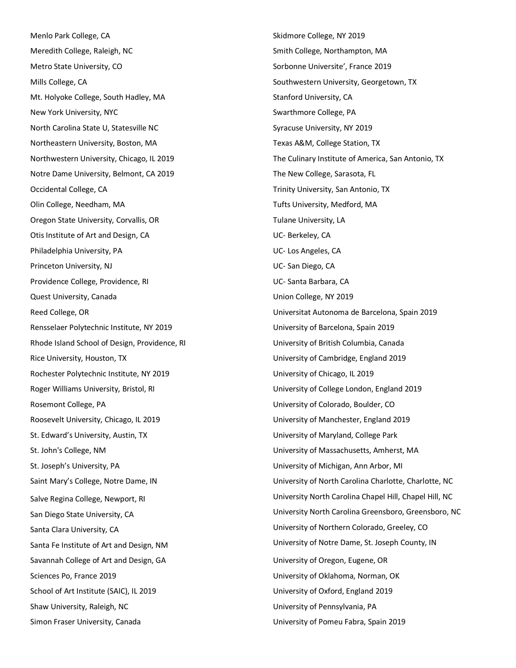Menlo Park College, CA Meredith College, Raleigh, NC Metro State University, CO Mills College, CA Mt. Holyoke College, South Hadley, MA New York University, NYC North Carolina State U, Statesville NC Northeastern University, Boston, MA Northwestern University, Chicago, IL 2019 Notre Dame University, Belmont, CA 2019 Occidental College, CA Olin College, Needham, MA Oregon State University, Corvallis, OR Otis Institute of Art and Design, CA Philadelphia University, PA Princeton University, NJ Providence College, Providence, RI Quest University, Canada Reed College, OR Rensselaer Polytechnic Institute, NY 2019 Rhode Island School of Design, Providence, RI Rice University, Houston, TX Rochester Polytechnic Institute, NY 2019 Roger Williams University, Bristol, RI Rosemont College, PA Roosevelt University, Chicago, IL 2019 St. Edward's University, Austin, TX St. John's College, NM St. Joseph's University, PA Saint Mary's College, Notre Dame, IN Salve Regina College, Newport, RI San Diego State University, CA Santa Clara University, CA Santa Fe Institute of Art and Design, NM Savannah College of Art and Design, GA Sciences Po, France 2019 School of Art Institute (SAIC), IL 2019 Shaw University, Raleigh, NC Simon Fraser University, Canada

Skidmore College, NY 2019 Smith College, Northampton, MA Sorbonne Universite', France 2019 Southwestern University, Georgetown, TX Stanford University, CA Swarthmore College, PA Syracuse University, NY 2019 Texas A&M, College Station, TX The Culinary Institute of America, San Antonio, TX The New College, Sarasota, FL Trinity University, San Antonio, TX Tufts University, Medford, MA Tulane University, LA UC- Berkeley, CA UC- Los Angeles, CA UC- San Diego, CA UC- Santa Barbara, CA Union College, NY 2019 Universitat Autonoma de Barcelona, Spain 2019 University of Barcelona, Spain 2019 University of British Columbia, Canada University of Cambridge, England 2019 University of Chicago, IL 2019 University of College London, England 2019 University of Colorado, Boulder, CO University of Manchester, England 2019 University of Maryland, College Park University of Massachusetts, Amherst, MA University of Michigan, Ann Arbor, MI University of North Carolina Charlotte, Charlotte, NC University North Carolina Chapel Hill, Chapel Hill, NC University North Carolina Greensboro, Greensboro, NC University of Northern Colorado, Greeley, CO University of Notre Dame, St. Joseph County, IN University of Oregon, Eugene, OR University of Oklahoma, Norman, OK University of Oxford, England 2019 University of Pennsylvania, PA University of Pomeu Fabra, Spain 2019